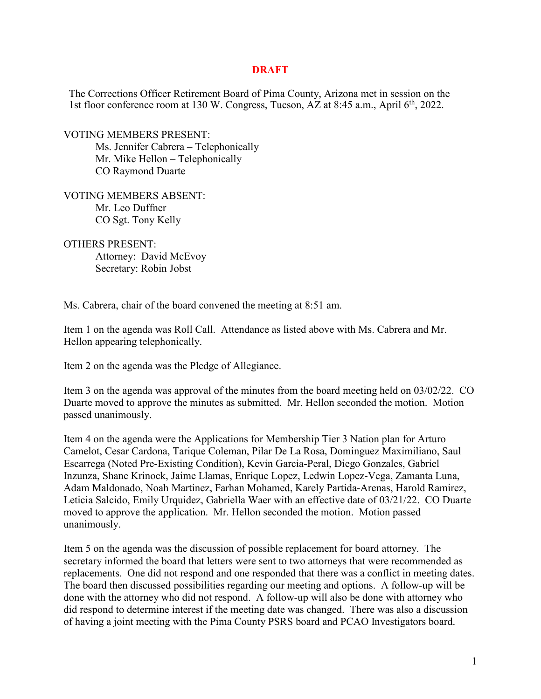## **DRAFT**

The Corrections Officer Retirement Board of Pima County, Arizona met in session on the 1st floor conference room at 130 W. Congress, Tucson, AZ at 8:45 a.m., April 6<sup>th</sup>, 2022.

VOTING MEMBERS PRESENT: Ms. Jennifer Cabrera – Telephonically Mr. Mike Hellon – Telephonically CO Raymond Duarte

VOTING MEMBERS ABSENT: Mr. Leo Duffner CO Sgt. Tony Kelly

OTHERS PRESENT:

Attorney: David McEvoy Secretary: Robin Jobst

Ms. Cabrera, chair of the board convened the meeting at 8:51 am.

Item 1 on the agenda was Roll Call. Attendance as listed above with Ms. Cabrera and Mr. Hellon appearing telephonically.

Item 2 on the agenda was the Pledge of Allegiance.

Item 3 on the agenda was approval of the minutes from the board meeting held on 03/02/22. CO Duarte moved to approve the minutes as submitted. Mr. Hellon seconded the motion. Motion passed unanimously.

Item 4 on the agenda were the Applications for Membership Tier 3 Nation plan for Arturo Camelot, Cesar Cardona, Tarique Coleman, Pilar De La Rosa, Dominguez Maximiliano, Saul Escarrega (Noted Pre-Existing Condition), Kevin Garcia-Peral, Diego Gonzales, Gabriel Inzunza, Shane Krinock, Jaime Llamas, Enrique Lopez, Ledwin Lopez-Vega, Zamanta Luna, Adam Maldonado, Noah Martinez, Farhan Mohamed, Karely Partida-Arenas, Harold Ramirez, Leticia Salcido, Emily Urquidez, Gabriella Waer with an effective date of 03/21/22. CO Duarte moved to approve the application. Mr. Hellon seconded the motion. Motion passed unanimously.

Item 5 on the agenda was the discussion of possible replacement for board attorney. The secretary informed the board that letters were sent to two attorneys that were recommended as replacements. One did not respond and one responded that there was a conflict in meeting dates. The board then discussed possibilities regarding our meeting and options. A follow-up will be done with the attorney who did not respond. A follow-up will also be done with attorney who did respond to determine interest if the meeting date was changed. There was also a discussion of having a joint meeting with the Pima County PSRS board and PCAO Investigators board.